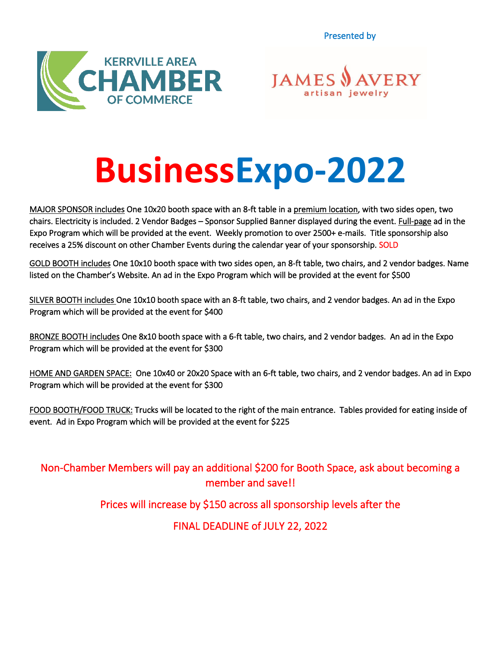Presented by





# **BusinessExpo-2022**

MAJOR SPONSOR includes One 10x20 booth space with an 8-ft table in a premium location, with two sides open, two chairs. Electricity is included. 2 Vendor Badges – Sponsor Supplied Banner displayed during the event. Full-page ad in the Expo Program which will be provided at the event. Weekly promotion to over 2500+ e-mails. Title sponsorship also receives a 25% discount on other Chamber Events during the calendar year of your sponsorship. SOLD

GOLD BOOTH includes One 10x10 booth space with two sides open, an 8-ft table, two chairs, and 2 vendor badges. Name listed on the Chamber's Website. An ad in the Expo Program which will be provided at the event for \$500

SILVER BOOTH includes One 10x10 booth space with an 8-ft table, two chairs, and 2 vendor badges. An ad in the Expo Program which will be provided at the event for \$400

BRONZE BOOTH includes One 8x10 booth space with a 6-ft table, two chairs, and 2 vendor badges. An ad in the Expo Program which will be provided at the event for \$300

HOME AND GARDEN SPACE: One 10x40 or 20x20 Space with an 6-ft table, two chairs, and 2 vendor badges. An ad in Expo Program which will be provided at the event for \$300

FOOD BOOTH/FOOD TRUCK: Trucks will be located to the right of the main entrance. Tables provided for eating inside of event. Ad in Expo Program which will be provided at the event for \$225

Non-Chamber Members will pay an additional \$200 for Booth Space, ask about becoming a member and save!!

Prices will increase by \$150 across all sponsorship levels after the

FINAL DEADLINE of JULY 22, 2022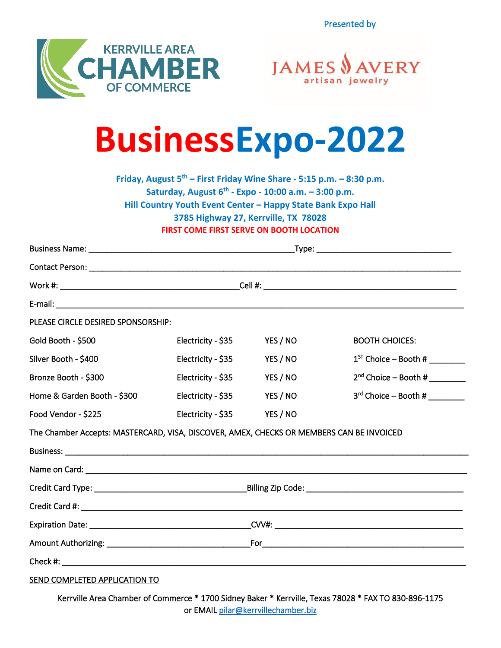Presented by





### **BusinessExpo-2022**

**Friday, August 5 th – First Friday Wine Share - 5:15 p.m. – 8:30 p.m. Saturday, August 6 th - Expo - 10:00 a.m. – 3:00 p.m. Hill Country Youth Event Center – Happy State Bank Expo Hall 3785 Highway 27, Kerrville, TX 78028 FIRST COME FIRST SERVE ON BOOTH LOCATION**

| PLEASE CIRCLE DESIRED SPONSORSHIP:                                                       |                    |          |                                   |
|------------------------------------------------------------------------------------------|--------------------|----------|-----------------------------------|
| Gold Booth - \$500                                                                       | Electricity - \$35 | YES / NO | <b>BOOTH CHOICES:</b>             |
| Silver Booth - \$400                                                                     | Electricity - \$35 | YES / NO | $1^{ST}$ Choice – Booth # _______ |
| Bronze Booth - \$300                                                                     | Electricity - \$35 | YES / NO | $2nd$ Choice – Booth #            |
| Home & Garden Booth - \$300                                                              | Electricity - \$35 | YES / NO | $3rd$ Choice – Booth #            |
| Food Vendor - \$225                                                                      | Electricity - \$35 | YES / NO |                                   |
| The Chamber Accepts: MASTERCARD, VISA, DISCOVER, AMEX, CHECKS OR MEMBERS CAN BE INVOICED |                    |          |                                   |
|                                                                                          |                    |          |                                   |
|                                                                                          |                    |          |                                   |
|                                                                                          |                    |          |                                   |
|                                                                                          |                    |          |                                   |
|                                                                                          |                    |          |                                   |
|                                                                                          |                    |          |                                   |
|                                                                                          |                    |          |                                   |
| SEND COMPLETED APPLICATION TO                                                            |                    |          |                                   |

Kerrville Area Chamber of Commerce \* 1700 Sidney Baker \* Kerrville, Texas 78028 \* FAX TO 830-896-1175 or EMAI[L pilar@kerrvillechamber.biz](mailto:pilar@kerrvillechamber.biz)